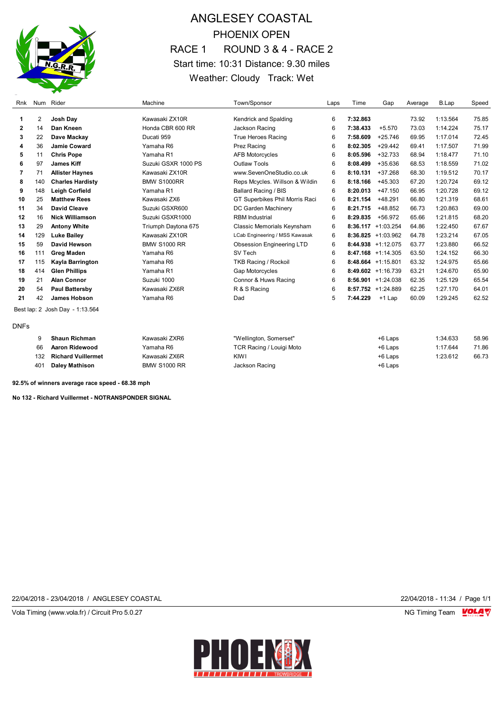

# ANGLESEY COASTAL PHOENIX OPEN RACE 1 ROUND 3 & 4 - RACE 2 Start time: 10:31 Distance: 9.30 miles Weather: Cloudy Track: Wet

| Rnk         |     | Num Rider                       | Machine             | Town/Sponsor                     | Laps | Time     | Gap                   | Average | B.Lap    | Speed |
|-------------|-----|---------------------------------|---------------------|----------------------------------|------|----------|-----------------------|---------|----------|-------|
|             |     |                                 |                     |                                  |      |          |                       |         |          |       |
| 1           | 2   | Josh Day                        | Kawasaki ZX10R      | Kendrick and Spalding            | 6    | 7:32.863 |                       | 73.92   | 1:13.564 | 75.85 |
| 2           | 14  | Dan Kneen                       | Honda CBR 600 RR    | Jackson Racing                   | 6    | 7:38.433 | $+5.570$              | 73.03   | 1:14.224 | 75.17 |
| 3           | 22  | Dave Mackay                     | Ducati 959          | <b>True Heroes Racing</b>        | 6    | 7:58.609 | $+25.746$             | 69.95   | 1:17.014 | 72.45 |
| 4           | 36  | <b>Jamie Coward</b>             | Yamaha R6           | Prez Racing                      | 6    | 8:02.305 | $+29.442$             | 69.41   | 1:17.507 | 71.99 |
| 5           | 11  | <b>Chris Pope</b>               | Yamaha R1           | <b>AFB Motorcycles</b>           | 6    | 8:05.596 | $+32.733$             | 68.94   | 1:18.477 | 71.10 |
| 6           | 97  | <b>James Kiff</b>               | Suzuki GSXR 1000 PS | Outlaw Tools                     | 6    | 8:08.499 | $+35.636$             | 68.53   | 1:18.559 | 71.02 |
| 7           | 71  | <b>Allister Haynes</b>          | Kawasaki ZX10R      | www.SevenOneStudio.co.uk         | 6    | 8:10.131 | +37.268               | 68.30   | 1:19.512 | 70.17 |
| 8           | 140 | <b>Charles Hardisty</b>         | <b>BMW S1000RR</b>  | Reps Mcycles. Willson & Wildin   | 6    | 8:18.166 | $+45.303$             | 67.20   | 1:20.724 | 69.12 |
| 9           | 148 | Leigh Corfield                  | Yamaha R1           | Ballard Racing / BIS             | 6    | 8:20.013 | $+47.150$             | 66.95   | 1:20.728 | 69.12 |
| 10          | 25  | <b>Matthew Rees</b>             | Kawasaki ZX6        | GT Superbikes Phil Morris Raci   | 6    | 8:21.154 | $+48.291$             | 66.80   | 1:21.319 | 68.61 |
| 11          | 34  | <b>David Cleave</b>             | Suzuki GSXR600      | DC Garden Machinery              | 6    | 8:21.715 | +48.852               | 66.73   | 1:20.863 | 69.00 |
| 12          | 16  | <b>Nick Williamson</b>          | Suzuki GSXR1000     | <b>RBM</b> Industrial            | 6    | 8:29.835 | +56.972               | 65.66   | 1:21.815 | 68.20 |
| 13          | 29  | <b>Antony White</b>             | Triumph Daytona 675 | Classic Memorials Keynsham       | 6    |          | $8:36.117 +1:03.254$  | 64.86   | 1:22.450 | 67.67 |
| 14          | 129 | <b>Luke Bailey</b>              | Kawasaki ZX10R      | LCab Engineering / MSS Kawasak   | 6    |          | $8:36.825 +1:03.962$  | 64.78   | 1:23.214 | 67.05 |
| 15          | 59  | David Hewson                    | <b>BMW S1000 RR</b> | <b>Obsession Engineering LTD</b> | 6    |          | $8:44.938$ +1:12.075  | 63.77   | 1:23.880 | 66.52 |
| 16          | 111 | <b>Greg Maden</b>               | Yamaha R6           | SV Tech                          | 6    |          | $8:47.168$ +1:14.305  | 63.50   | 1:24.152 | 66.30 |
| 17          | 115 | Kayla Barrington                | Yamaha R6           | <b>TKB Racing / Rockoil</b>      | 6    |          | $8:48.664$ +1:15.801  | 63.32   | 1:24.975 | 65.66 |
| 18          | 414 | <b>Glen Phillips</b>            | Yamaha R1           | <b>Gap Motorcycles</b>           | 6    |          | $8:49.602 +1:16.739$  | 63.21   | 1:24.670 | 65.90 |
| 19          | 21  | <b>Alan Connor</b>              | Suzuki 1000         | Connor & Huws Racing             | 6    |          | $8:56.901 + 1:24.038$ | 62.35   | 1:25.129 | 65.54 |
| 20          | 54  | <b>Paul Battersby</b>           | Kawasaki ZX6R       | R & S Racing                     | 6    |          | $8:57.752 +1:24.889$  | 62.25   | 1:27.170 | 64.01 |
| 21          | 42  | James Hobson                    | Yamaha R6           | Dad                              | 5    | 7:44.229 | $+1$ Lap              | 60.09   | 1:29.245 | 62.52 |
|             |     | Best lap: 2 Josh Day - 1:13.564 |                     |                                  |      |          |                       |         |          |       |
| <b>DNFs</b> |     |                                 |                     |                                  |      |          |                       |         |          |       |
|             | 9   | <b>Shaun Richman</b>            | Kawasaki ZXR6       | "Wellington, Somerset"           |      |          | +6 Laps               |         | 1:34.633 | 58.96 |
|             | 66  | Aaron Ridewood                  | Yamaha R6           | <b>TCR Racing / Louigi Moto</b>  |      |          | +6 Laps               |         | 1:17.644 | 71.86 |
|             | 132 | <b>Richard Vuillermet</b>       | Kawasaki ZX6R       | KIWI                             |      |          | +6 Laps               |         | 1:23.612 | 66.73 |
|             | 401 | <b>Daley Mathison</b>           | <b>BMW S1000 RR</b> | Jackson Racing                   |      |          | +6 Laps               |         |          |       |

**92.5% of winners average race speed - 68.38 mph**

**No 132 - Richard Vuillermet - NOTRANSPONDER SIGNAL**

22/04/2018 - 23/04/2018 / ANGLESEY COASTAL 22/04/2018 - 11:34 / Page 1/1

Vola Timing (www.vola.fr) / Circuit Pro 5.0.27 NG Timing Team Monetary NG Timing Team Monetary

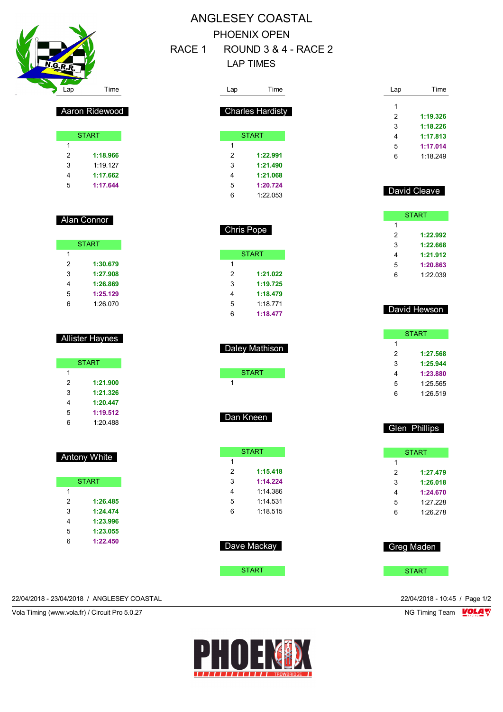

# ANGLESEY COASTAL PHOENIX OPEN RACE 1 ROUND 3 & 4 - RACE 2

### LAP TIMES

**START** 

 **1:21.022 1:19.725 1:18.479** 1:18.771 **1:18.477**

Daley Mathison

START

Dan Kneen

**START** 

 **1:15.418 1:14.224** 1:14.386 1:14.531 1:18.515

Dave Mackay

**START** 

| Lap            | Time                    |  | Lap         | Time         |
|----------------|-------------------------|--|-------------|--------------|
|                |                         |  | 1           |              |
|                | <b>Charles Hardisty</b> |  | 2           | 1:19.326     |
|                |                         |  | 3           | 1:18.226     |
|                | <b>START</b>            |  | 4           | 1:17.813     |
| 1              |                         |  | 5           | 1:17.014     |
| $\overline{2}$ | 1:22.991                |  | 6           | 1:18.249     |
| 3              | 1:21.490                |  |             |              |
| 4              | 1:21.068                |  |             |              |
| 5              | 1:20.724                |  |             |              |
| 6              | 1:22.053                |  |             | David Cleave |
|                |                         |  |             | <b>START</b> |
|                | <b>Chris Pope</b>       |  | 1<br>$\sim$ | 4.00.000     |

| 1 |          |
|---|----------|
| 2 | 1:22.992 |
| 3 | 1:22.668 |
| 4 | 1:21.912 |
| 5 | 1:20.863 |
| հ | 1.22.039 |
|   |          |

#### David Hewson

|   | <b>START</b> |
|---|--------------|
| 1 |              |
| 2 | 1:27.568     |
| 3 | 1:25.944     |
| 4 | 1:23.880     |
| 5 | 1:25.565     |
| հ | 1:26.519     |

#### Glen Phillips

|   | <b>START</b> |  |  |  |  |
|---|--------------|--|--|--|--|
| 1 |              |  |  |  |  |
| 2 | 1:27.479     |  |  |  |  |
| 3 | 1:26.018     |  |  |  |  |
| 4 | 1:24.670     |  |  |  |  |
| 5 | 1:27.228     |  |  |  |  |
| հ | 1.26278      |  |  |  |  |

| <b>Greg Maden</b> |
|-------------------|
| <b>START</b>      |

| Aaron Ridewood |  |
|----------------|--|
|                |  |

|   | <b>START</b> |
|---|--------------|
| 1 |              |
| 2 | 1:18.966     |
| 3 | 1:19.127     |
| 4 | 1:17.662     |
| 5 | 1:17.644     |
|   |              |

#### Alan Connor

|   | <b>START</b> |
|---|--------------|
| 1 |              |
| 2 | 1:30.679     |
| 3 | 1:27.908     |
| 4 | 1:26.869     |
| 5 | 1:25.129     |
| հ | 1:26.070     |

#### Allister Haynes

|   | <b>START</b> |
|---|--------------|
| 1 |              |
| 2 | 1:21.900     |
| 3 | 1:21.326     |
| 4 | 1:20.447     |
| 5 | 1:19.512     |
| հ | 1:20.488     |

#### Antony White

|   | <b>START</b> |
|---|--------------|
| 1 |              |
| 2 | 1:26.485     |
| 3 | 1:24.474     |
| 4 | 1:23.996     |
| 5 | 1:23.055     |
| հ | 1:22.450     |

22/04/2018 - 23/04/2018 / ANGLESEY COASTAL 22/04/2018 - 10:45 / Page 1/2

Vola Timing (www.vola.fr) / Circuit Pro 5.0.27 NG Timing Team VOLA V

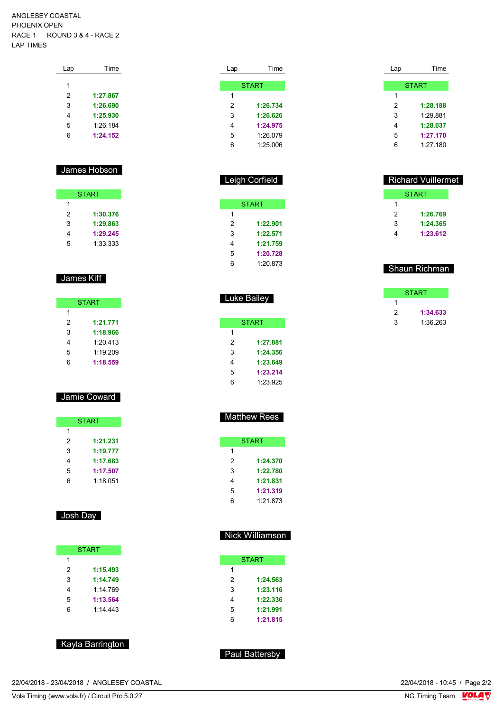ANGLESEY COASTAL PHOENIX OPEN RACE 1 ROUND 3 & 4 - RACE 2 LAP TIMES

| Lap | Time     |
|-----|----------|
|     |          |
| 1   |          |
| 2   | 1:27.867 |
| 3   | 1:26.690 |
| 4   | 1:25.930 |
| 5   | 1:26.184 |
| 6   | 1:24.152 |
|     |          |

#### James Hobson

|   | <b>START</b> |
|---|--------------|
| 1 |              |
| 2 | 1:30.376     |
| 3 | 1:29.863     |
| 4 | 1:29.245     |
| 5 | 1:33.333     |

#### James Kiff

|   | <b>START</b> |
|---|--------------|
| 1 |              |
| 2 | 1:21.771     |
| 3 | 1:18.966     |
| 4 | 1:20.413     |
| 5 | 1:19.209     |
| հ | 1:18.559     |

#### Jamie Coward

|   | <b>START</b> |
|---|--------------|
| 1 |              |
| 2 | 1:21.231     |
| 3 | 1:19.777     |
| 4 | 1:17.683     |
| 5 | 1:17.507     |
| հ | 1:18.051     |

#### Josh Day

| <b>START</b> |          |
|--------------|----------|
| 1            |          |
| 2            | 1:15.493 |
| 3            | 1:14.749 |
| 4            | 1.14769  |
| 5            | 1:13.564 |
| հ            | 1:14.443 |

#### Kayla Barrington

| Lap | Time         |
|-----|--------------|
|     |              |
|     | <b>START</b> |
| 1   |              |
| 2   | 1:26.734     |
| 3   | 1:26.626     |
| 4   | 1:24.975     |
| 5   | 1:26.079     |
| հ   | 1:25.006     |

#### Leigh Corfield

|   | <b>START</b> |
|---|--------------|
| 1 |              |
| 2 | 1:22.901     |
| 3 | 1:22.571     |
| 4 | 1:21.759     |
| 5 | 1:20.728     |
| հ | 1:20.873     |

# Luke Bailey **START**

| 1 |          |
|---|----------|
| 2 | 1:27.881 |
| 3 | 1:24.356 |
| 4 | 1:23.649 |
| 5 | 1:23.214 |
| հ | 1.23.925 |

#### Matthew Rees

|     | <b>START</b> |
|-----|--------------|
| 1   |              |
| 2   | 1:24.370     |
| 3   | 1:22.780     |
| 4   | 1:21.831     |
| 5   | 1:21.319     |
| ี่ค | 1:21.873     |

#### Nick Williamson

|   | <b>START</b> |
|---|--------------|
| 1 |              |
| 2 | 1:24.563     |
| 3 | 1:23.116     |
| 4 | 1:22.336     |
| 5 | 1:21.991     |
| 6 | 1:21.815     |

#### Paul Battersby

|   | <b>START</b> |
|---|--------------|
| 1 |              |
| 2 | 1:28.188     |
| 3 | 1.29881      |
| 4 | 1:28.037     |
| 5 | 1:27.170     |
| հ | 1:27.180     |

Lap Time

#### Richard Vuillermet

| <b>START</b> |
|--------------|
|              |
| 1:26.769     |
| 1:24.365     |
| 1:23.612     |
|              |

#### Shaun Richman

|   | <b>START</b> |
|---|--------------|
|   |              |
| 2 | 1:34.633     |
| 3 | 1:36.263     |
|   |              |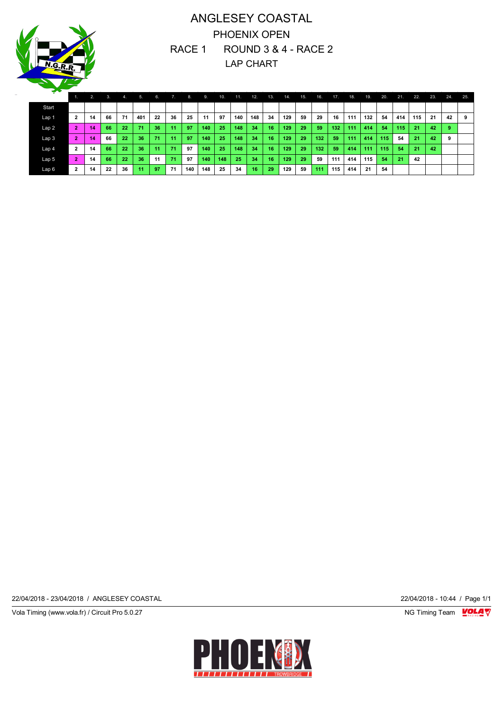# ANGLESEY COASTAL PHOENIX OPEN RACE 1 ROUND 3 & 4 - RACE 2 LAP CHART

| <del>∽</del> |                |    |    |       |     |    |              |     |     |     |     |     |     |      |     |     |     |     |     |     |     |     |     |     |     |
|--------------|----------------|----|----|-------|-----|----|--------------|-----|-----|-----|-----|-----|-----|------|-----|-----|-----|-----|-----|-----|-----|-----|-----|-----|-----|
|              |                | 2. | 3. | $-4.$ | 5.  | 6. | $\mathbf{V}$ | 8.  | 9.  | 10. | 11. | 12. | 13. | 14.  | 15. | 16. | 17. | 18. | 19. | 20. | 21. | 22. | 23. | 24. | 25. |
| Start        |                |    |    |       |     |    |              |     |     |     |     |     |     |      |     |     |     |     |     |     |     |     |     |     |     |
| Lap 1        | $\overline{2}$ | 14 | 66 | 71    | 401 | 22 | 36           | 25  | 11  | 97  | 140 | 148 | 34  | 129  | 59  | 29  | 16  | 111 | 132 | 54  | 414 | 115 | -21 | 42  | 9   |
| Lap 2        | $\overline{2}$ | 14 | 66 | 22    | 71  | 36 | 11           | 97  | 140 | 25  | 148 | 34  | 16  | 129. | 29  | 59  | 132 | 111 | 414 | 54  | 115 | 21  | 42  | -9  |     |
| Lap 3        | $\overline{2}$ | 14 | 66 | 22    | 36  | 71 | 11           | 97  | 140 | 25  | 148 | 34  | 16  | 129  | 29  | 132 | 59  | 111 | 414 | 115 | 54  | 21  | 42  | 9   |     |
| Lap 4        | $\overline{2}$ | 14 | 66 | 22    | 36  | 11 | 71           | 97  | 140 | 25  | 148 | 34  | 16  | 129  | 29  | 132 | 59  | 414 | 111 | 115 | 54  | 21  | 42  |     |     |
| Lap 5        | $\overline{2}$ | 14 | 66 | 22    | 36  | 11 | 71           | 97  | 140 | 148 | 25  | 34  | 16  | 129  | 29  | 59  | 111 | 414 | 115 | 54  | 21  | 42  |     |     |     |
| Lap 6        | $\overline{2}$ | 14 | 22 | 36    | 11  | 97 | 71           | 140 | 148 | 25  | 34  | 16  | 29  | 129  | 59  | 111 | 115 | 414 | 21  | 54  |     |     |     |     |     |

22/04/2018 - 23/04/2018 / ANGLESEY COASTAL 22/04/2018 - 10:44 / Page 1/1

Vola Timing (www.vola.fr) / Circuit Pro 5.0.27 **NG Timing Team Monet Account Property** 

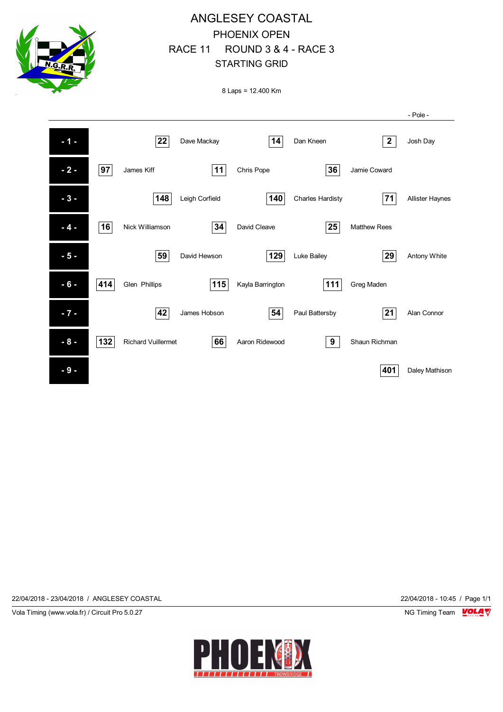

# ANGLESEY COASTAL PHOENIX OPEN RACE 11 ROUND 3 & 4 - RACE 3 STARTING GRID

8 Laps = 12.400 Km

|        |     |                           |                |                  |                         |                     | - Pole -               |
|--------|-----|---------------------------|----------------|------------------|-------------------------|---------------------|------------------------|
| $-1 -$ |     | 22                        | Dave Mackay    | 14               | Dan Kneen               | $\mathbf{2}$        | Josh Day               |
| $-2-$  | 97  | James Kiff                | 11             | Chris Pope       | 36                      | Jamie Coward        |                        |
| $-3-$  |     | 148                       | Leigh Corfield | 140              | <b>Charles Hardisty</b> | 71                  | <b>Allister Haynes</b> |
| $-4-$  | 16  | Nick Williamson           | 34             | David Cleave     | 25                      | <b>Matthew Rees</b> |                        |
| $-5-$  |     | 59                        | David Hewson   | 129              | Luke Bailey             | 29                  | Antony White           |
| $-6-$  | 414 | Glen Phillips             | 115            | Kayla Barrington | 111                     | Greg Maden          |                        |
| $-7 -$ |     | 42                        | James Hobson   | 54               | Paul Battersby          | 21                  | Alan Connor            |
| $-8-$  | 132 | <b>Richard Vuillermet</b> | 66             | Aaron Ridewood   | 9                       | Shaun Richman       |                        |
| $-9-$  |     |                           |                |                  |                         | 401                 | Daley Mathison         |

22/04/2018 - 23/04/2018 / ANGLESEY COASTAL 22/04/2018 - 10:45 / Page 1/1

Vola Timing (www.vola.fr) / Circuit Pro 5.0.27 **NG Timing Team Monet Account Property** 

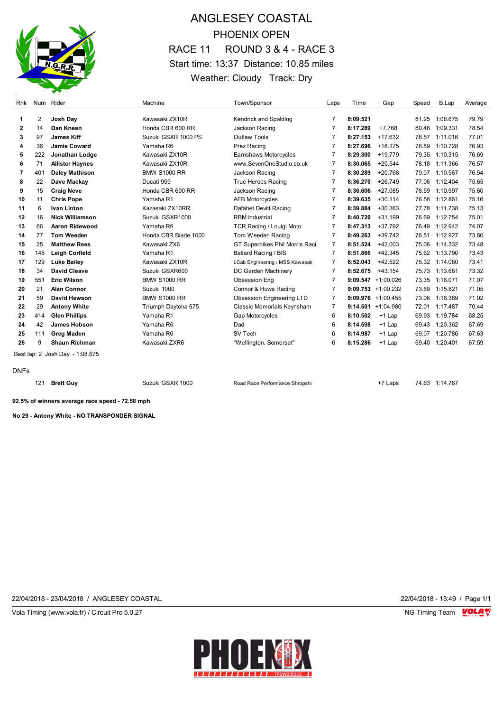

# ANGLESEY COASTAL PHOENIX OPEN RACE 11 ROUND 3 & 4 - RACE 3 Start time: 13:37 Distance: 10.85 miles Weather: Cloudy Track: Dry

| Rnk          |                                 | Num Rider              | Machine              | Town/Sponsor                     | Laps           | Time     | Gap                   | Speed | B.Lap          | Average |
|--------------|---------------------------------|------------------------|----------------------|----------------------------------|----------------|----------|-----------------------|-------|----------------|---------|
| 1            | 2                               | Josh Day               | Kawasaki ZX10R       | Kendrick and Spalding            | 7              | 8:09.521 |                       | 81.25 | 1:08.675       | 79.79   |
| $\mathbf{2}$ | 14                              | Dan Kneen              | Honda CBR 600 RR     | Jackson Racing                   | 7              | 8:17.289 | $+7.768$              | 80.48 | 1:09.331       | 78.54   |
| 3            | 97                              | <b>James Kiff</b>      | Suzuki GSXR 1000 PS  | Outlaw Tools                     | 7              | 8:27.153 | $+17.632$             |       | 78.57 1:11.016 | 77.01   |
| 4            | 36                              | Jamie Coward           | Yamaha R6            | Prez Racing                      | 7              | 8:27.696 | $+18.175$             | 78.89 | 1:10.728       | 76.93   |
| 5            | 222                             | Jonathan Lodge         | Kawasaki ZX10R       | Earnshaws Motorcycles            | 7              | 8:29.300 | $+19.779$             | 79.35 | 1:10.315       | 76.69   |
| 6            | 71                              | <b>Allister Haynes</b> | Kawasaki ZX10R       | www.SevenOneStudio.co.uk         | $\overline{7}$ | 8:30.065 | $+20.544$             | 78.18 | 1:11.366       | 76.57   |
| 7            | 401                             | <b>Daley Mathison</b>  | <b>BMW S1000 RR</b>  | Jackson Racing                   | 7              | 8:30.289 | $+20.768$             | 79.07 | 1:10.567       | 76.54   |
| 8            | 22                              | Dave Mackay            | Ducati 959           | <b>True Heroes Racing</b>        | 7              | 8:36.270 | $+26.749$             | 77.06 | 1:12.404       | 75.65   |
| 9            | 15                              | <b>Craig Neve</b>      | Honda CBR 600 RR     | Jackson Racing                   | 7              | 8:36.606 | $+27.085$             | 78.59 | 1:10.997       | 75.60   |
| 10           | 11                              | <b>Chris Pope</b>      | Yamaha R1            | <b>AFB Motorcycles</b>           | 7              | 8:39.635 | $+30.114$             | 76.58 | 1:12.861       | 75.16   |
| 11           | 6                               | <b>Ivan Linton</b>     | Kazasaki ZX10RR      | Dafabet Devitt Racing            | 7              | 8:39.884 | $+30.363$             | 77.78 | 1:11.738       | 75.13   |
| 12           | 16                              | <b>Nick Williamson</b> | Suzuki GSXR1000      | <b>RBM</b> Industrial            | 7              | 8:40.720 | $+31.199$             | 76.69 | 1:12.754       | 75.01   |
| 13           | 66                              | Aaron Ridewood         | Yamaha R6            | <b>TCR Racing / Louigi Moto</b>  | 7              | 8:47.313 | $+37.792$             | 76.49 | 1:12.942       | 74.07   |
| 14           | 77                              | <b>Tom Weeden</b>      | Honda CBR Blade 1000 | Tom Weeden Racing                | 7              | 8:49.263 | $+39.742$             |       | 76.51 1:12.927 | 73.80   |
| 15           | 25                              | <b>Matthew Rees</b>    | Kawasaki ZX6         | GT Superbikes Phil Morris Raci   | 7              | 8:51.524 | $+42.003$             | 75.06 | 1:14.332       | 73.48   |
| 16           | 148                             | <b>Leigh Corfield</b>  | Yamaha R1            | <b>Ballard Racing / BIS</b>      | 7              | 8:51.866 | $+42.345$             |       | 75.62 1:13.790 | 73.43   |
| 17           | 129                             | <b>Luke Bailey</b>     | Kawasaki ZX10R       | LCab Engineering / MSS Kawasak   | 7              | 8:52.043 | $+42.522$             |       | 75.32 1:14.080 | 73.41   |
| 18           | 34                              | <b>David Cleave</b>    | Suzuki GSXR600       | DC Garden Machinery              | 7              | 8:52.675 | $+43.154$             |       | 75.73 1:13.681 | 73.32   |
| 19           | 551                             | <b>Eric Wilson</b>     | <b>BMW S1000 RR</b>  | <b>Obsession Eng</b>             | 7              |          | $9:09.547 +1:00.026$  | 73.35 | 1:16.071       | 71.07   |
| 20           | 21                              | <b>Alan Connor</b>     | Suzuki 1000          | Connor & Huws Racing             | 7              |          | $9:09.753 +1:00.232$  | 73.59 | 1:15.821       | 71.05   |
| 21           | 59                              | David Hewson           | <b>BMW S1000 RR</b>  | <b>Obsession Engineering LTD</b> | 7              |          | $9:09.976 +1:00.455$  | 73.06 | 1:16.369       | 71.02   |
| 22           | 29                              | <b>Antony White</b>    | Triumph Daytona 675  | Classic Memorials Keynsham       | 7              |          | $9:14.501 + 1:04.980$ | 72.01 | 1:17.487       | 70.44   |
| 23           | 414                             | <b>Glen Phillips</b>   | Yamaha R1            | <b>Gap Motorcycles</b>           | 6              | 8:10.502 | $+1$ Lap              | 69.93 | 1:19.784       | 68.25   |
| 24           | 42                              | <b>James Hobson</b>    | Yamaha R6            | Dad                              | 6              | 8:14.598 | $+1$ Lap              | 69.43 | 1:20.362       | 67.69   |
| 25           | 111                             | <b>Greg Maden</b>      | Yamaha R6            | SV Tech                          | 6              | 8:14.987 | $+1$ Lap              | 69.07 | 1:20.786       | 67.63   |
| 26           | 9                               | <b>Shaun Richman</b>   | Kawasaki ZXR6        | "Wellington, Somerset"           | 6              | 8:15.286 | $+1$ Lap              | 69.40 | 1:20.401       | 67.59   |
|              | Best lap: 2 Josh Day - 1:08.675 |                        |                      |                                  |                |          |                       |       |                |         |

DNFs

**Brett Guy Suzuki GSXR 1000** Road Race Performance Shropshi +7 Laps 74.63 1:14.767

**92.5% of winners average race speed - 72.58 mph**

**No 29 - Antony White - NO TRANSPONDER SIGNAL**

22/04/2018 - 23/04/2018 / ANGLESEY COASTAL 22/04/2018 - 13:49 / Page 1/1

Vola Timing (www.vola.fr) / Circuit Pro 5.0.27 **NG Timing Team MOLA View Area** NG Timing Team MOLA View Area NG Timing Team MOLA View Area NG Timing Team MOLA View Area NG Timing Team MOLA View Area NG Timing Team MOLA Vie

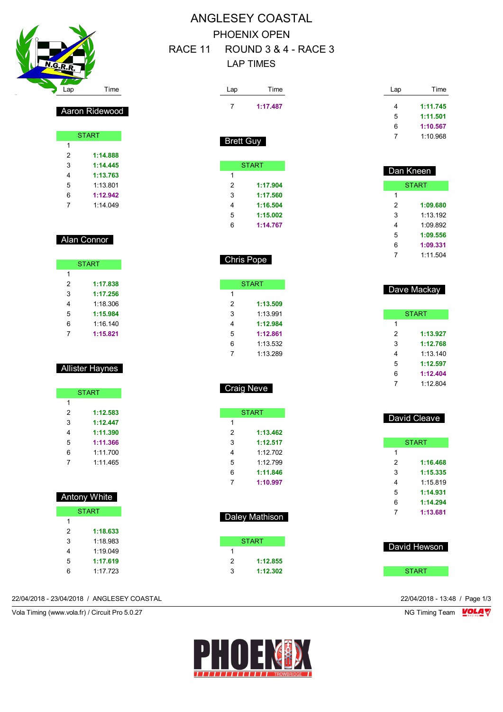

 $\overline{1}$ 

Aaron Ridewood

**START** 

 **1:14.888 1:14.445 1:13.763** 1:13.801 **1:12.942** 1:14.049

Alan Connor

 $\overline{1}$ 

**START** 

 **1:17.838 1:17.256** 1:18.306 **1:15.984** 1:16.140 **1:15.821**

Allister Haynes

**START** 

 **1:12.583 1:12.447 1:11.390 1:11.366** 1:11.700 1:11.465

### ANGLESEY COASTAL PHOENIX OPEN RACE 11 ROUND 3 & 4 - RACE 3 LAP TIMES

| Lap               | Time           | Lap            | Time         |
|-------------------|----------------|----------------|--------------|
| 7                 | 1:17.487       | 4              | 1:11.745     |
|                   |                | 5              | 1:11.501     |
|                   |                | 6              | 1:10.567     |
|                   |                | 7              | 1:10.968     |
| Brett Guy         |                |                |              |
|                   | <b>START</b>   |                | Dan Kneen    |
| 1                 |                |                |              |
| 2                 | 1:17.904       |                | <b>START</b> |
| 3                 | 1:17.560       | 1              |              |
| 4                 | 1:16.504       | $\overline{2}$ | 1:09.680     |
| 5                 | 1:15.002       | 3              | 1:13.192     |
| 6                 | 1:14.767       | 4              | 1:09.892     |
|                   |                | 5              | 1:09.556     |
|                   |                | 6              | 1:09.331     |
| <b>Chris Pope</b> |                | 7              | 1:11.504     |
|                   | <b>START</b>   |                |              |
| 1                 |                |                | Dave Mackay  |
| $\overline{2}$    | 1:13.509       |                |              |
| 3                 | 1:13.991       |                | <b>START</b> |
| 4                 | 1:12.984       | 1              |              |
| 5                 | 1:12.861       | $\overline{2}$ | 1:13.927     |
| 6                 | 1:13.532       | 3              | 1:12.768     |
|                   |                |                |              |
| 7                 | 1:13.289       | 4              | 1:13.140     |
|                   |                | 5              | 1:12.597     |
|                   |                | 6              | 1:12.404     |
| <b>Craig Neve</b> |                | 7              | 1:12.804     |
|                   | <b>START</b>   |                |              |
| 1                 |                |                | David Cleave |
| 2                 | 1:13.462       |                |              |
| 3                 | 1:12.517       |                | <b>START</b> |
| 4                 | 1:12.702       | 1              |              |
| 5                 | 1:12.799       | $\overline{c}$ | 1:16.468     |
| 6                 | 1:11.846       | 3              | 1:15.335     |
| $\overline{7}$    | 1:10.997       | 4              | 1:15.819     |
|                   |                | 5              | 1:14.931     |
|                   |                | 6              | 1:14.294     |
|                   | Daley Mathison | 7              | 1:13.681     |
|                   |                |                |              |
|                   | <b>START</b>   |                | David Hewson |
| $\mathbf{1}$      |                |                |              |
| 2                 | 1:12.855       |                |              |
| 3                 | 1:12.302       |                | <b>START</b> |

#### 22/04/2018 - 23/04/2018 / ANGLESEY COASTAL 22/04/2018 - 13:48 / Page 1/3

 Antony White **START** 

> **1:18.633** 1:18.983 1:19.049 **1:17.619** 1:17.723

Vola Timing (www.vola.fr) / Circuit Pro 5.0.27 NG Timing Team VOLA V

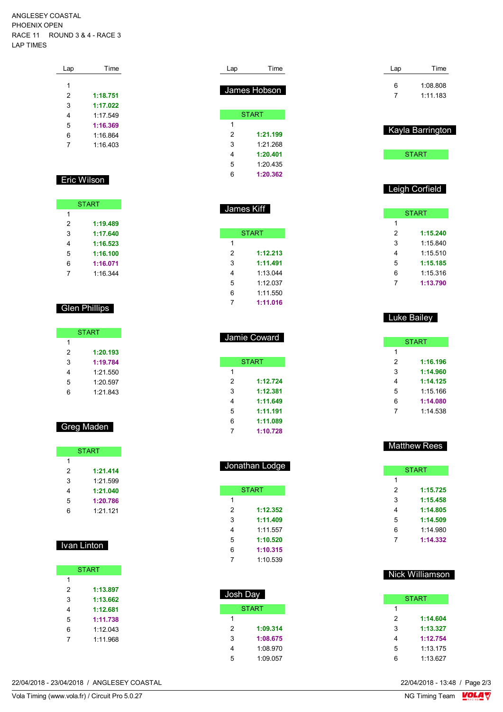ANGLESEY COASTAL PHOENIX OPEN RACE 11 ROUND 3 & 4 - RACE 3 LAP TIMES

| Lap           | Time     |  |
|---------------|----------|--|
|               |          |  |
| 1             |          |  |
| $\mathcal{P}$ | 1:18.751 |  |
| 3             | 1:17.022 |  |
| 4             | 1:17.549 |  |
| 5             | 1:16.369 |  |
| 6             | 1:16.864 |  |
| 7             | 1.16403  |  |
|               |          |  |

#### Eric Wilson

| <b>START</b> |          |  |  |  |
|--------------|----------|--|--|--|
| 1            |          |  |  |  |
| 2            | 1:19.489 |  |  |  |
| 3            | 1:17.640 |  |  |  |
| 4            | 1:16.523 |  |  |  |
| 5            | 1:16.100 |  |  |  |
| 6            | 1:16.071 |  |  |  |
|              | 1.16.344 |  |  |  |

### Glen Phillips

| <b>START</b> |          |  |  |  |  |
|--------------|----------|--|--|--|--|
| 1            |          |  |  |  |  |
| 2            | 1:20.193 |  |  |  |  |
| 3            | 1:19.784 |  |  |  |  |
| 4            | 1:21.550 |  |  |  |  |
| 5            | 1:20.597 |  |  |  |  |
| հ            | 1:21.843 |  |  |  |  |

### Greg Maden

| <b>START</b> |            |  |  |  |  |
|--------------|------------|--|--|--|--|
| 1            |            |  |  |  |  |
| 2            | 1:21.414   |  |  |  |  |
| 3            | 1:21.599   |  |  |  |  |
| 4            | 1:21.040   |  |  |  |  |
| 5            | 1:20.786   |  |  |  |  |
| հ            | $1.21$ 121 |  |  |  |  |

#### Ivan Linton

| <b>START</b> |          |  |  |  |  |
|--------------|----------|--|--|--|--|
| 1            |          |  |  |  |  |
| 2            | 1:13.897 |  |  |  |  |
| 3            | 1:13.662 |  |  |  |  |
| 4            | 1:12.681 |  |  |  |  |
| 5            | 1:11.738 |  |  |  |  |
| 6            | 1:12.043 |  |  |  |  |
|              | 1.11968  |  |  |  |  |

| Lap | Time         |
|-----|--------------|
|     |              |
|     | James Hobson |
|     |              |
|     | <b>START</b> |
| 1   |              |
| 2   | 1:21.199     |
| 3   | 1.21268      |
| 4   | 1:20.401     |
| 5   | 1:20.435     |
| 6   | 1:20.362     |

| James Kiff |              |  |  |  |  |
|------------|--------------|--|--|--|--|
|            | <b>START</b> |  |  |  |  |
| 1          |              |  |  |  |  |
| 2          | 1:12.213     |  |  |  |  |
| 3          | 1:11.491     |  |  |  |  |
| 4          | 1.13044      |  |  |  |  |
| 5          | 1.12037      |  |  |  |  |
| 6          | 1:11.550     |  |  |  |  |
| 7          | 1:11.016     |  |  |  |  |

| <b>Jamie Coward</b> |              |  |  |  |
|---------------------|--------------|--|--|--|
|                     |              |  |  |  |
|                     | <b>START</b> |  |  |  |
| 1                   |              |  |  |  |
| 2                   | 1:12.724     |  |  |  |
| 3                   | 1:12.381     |  |  |  |
| 4                   | 1:11.649     |  |  |  |
| 5                   | 1:11.191     |  |  |  |
| 6                   | 1:11.089     |  |  |  |
|                     | 1:10.728     |  |  |  |

|   | Jonathan Lodge |
|---|----------------|
|   | <b>START</b>   |
| 1 |                |
| 2 | 1:12.352       |
| 3 | 1:11.409       |
| 4 | 1.11557        |
| 5 | 1:10.520       |
| 6 | 1:10.315       |
| 7 | 1:10.539       |

| Josh Day |          |
|----------|----------|
|          | START    |
| 1        |          |
| 2        | 1:09.314 |
| 3        | 1:08.675 |
| 4        | 1:08.970 |
| 5        | 1:09.057 |

| Lap | Time     |
|-----|----------|
| 6   | 1:08.808 |
|     | 1.111183 |



**START** 

#### Leigh Corfield

| <b>START</b> |          |
|--------------|----------|
| 1            |          |
| 2            | 1:15.240 |
| 3            | 1:15.840 |
| 4            | 1:15.510 |
| 5            | 1:15.185 |
| 6            | 1:15.316 |
|              | 1:13.790 |

#### Luke Bailey

| START |          |  |
|-------|----------|--|
| 1     |          |  |
| 2     | 1:16.196 |  |
| 3     | 1:14.960 |  |
| 4     | 1:14.125 |  |
| 5     | 1:15.166 |  |
| 6     | 1:14.080 |  |
| 7     | 1.14538  |  |

#### Matthew Rees

| <b>START</b> |          |
|--------------|----------|
| 1            |          |
| 2            | 1:15.725 |
| 3            | 1:15.458 |
| 4            | 1:14.805 |
| 5            | 1:14.509 |
| 6            | 1.14980  |
|              | 1:14.332 |

### Nick Williamson

| <b>START</b> |          |
|--------------|----------|
| 1            |          |
| 2            | 1:14.604 |
| 3            | 1:13.327 |
| 4            | 1:12.754 |
| 5            | 1:13.175 |
| հ            | 1:13.627 |

22/04/2018 - 23/04/2018 / ANGLESEY COASTAL